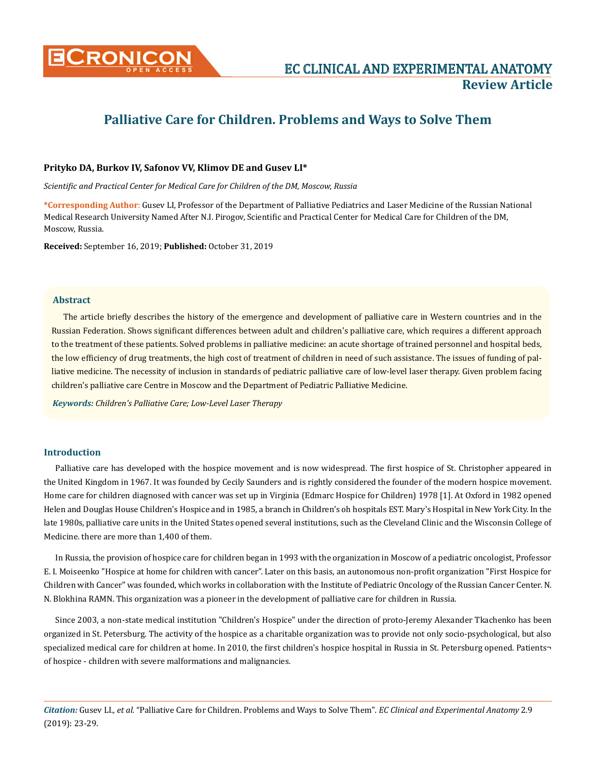

# **Palliative Care for Children. Problems and Ways to Solve Them**

# **Prityko DA, Burkov IV, Safonov VV, Klimov DE and Gusev LI\***

*Scientific and Practical Center for Medical Care for Children of the DM, Moscow, Russia*

**\*Corresponding Author**: Gusev LI, Professor of the Department of Palliative Pediatrics and Laser Medicine of the Russian National Medical Research University Named After N.I. Pirogov, Scientific and Practical Center for Medical Care for Children of the DM, Moscow, Russia.

**Received:** September 16, 2019; **Published:** October 31, 2019

# **Abstract**

The article briefly describes the history of the emergence and development of palliative care in Western countries and in the Russian Federation. Shows significant differences between adult and children's palliative care, which requires a different approach to the treatment of these patients. Solved problems in palliative medicine: an acute shortage of trained personnel and hospital beds, the low efficiency of drug treatments, the high cost of treatment of children in need of such assistance. The issues of funding of palliative medicine. The necessity of inclusion in standards of pediatric palliative care of low-level laser therapy. Given problem facing children's palliative care Centre in Moscow and the Department of Pediatric Palliative Medicine.

*Keywords: Children's Palliative Care; Low-Level Laser Therapy*

## **Introduction**

Palliative care has developed with the hospice movement and is now widespread. The first hospice of St. Christopher appeared in the United Kingdom in 1967. It was founded by Cecily Saunders and is rightly considered the founder of the modern hospice movement. Home care for children diagnosed with cancer was set up in Virginia (Edmarc Hospice for Children) 1978 [1]. At Oxford in 1982 opened Helen and Douglas House Children's Hospice and in 1985, a branch in Children's oh hospitals EST. Mary's Hospital in New York City. In the late 1980s, palliative care units in the United States opened several institutions, such as the Cleveland Clinic and the Wisconsin College of Medicine. there are more than 1,400 of them.

In Russia, the provision of hospice care for children began in 1993 with the organization in Moscow of a pediatric oncologist, Professor E. I. Moiseenko "Hospice at home for children with cancer". Later on this basis, an autonomous non-profit organization "First Hospice for Children with Cancer" was founded, which works in collaboration with the Institute of Pediatric Oncology of the Russian Cancer Center. N. N. Blokhina RAMN. This organization was a pioneer in the development of palliative care for children in Russia.

Since 2003, a non-state medical institution "Children's Hospice" under the direction of proto-Jeremy Alexander Tkachenko has been organized in St. Petersburg. The activity of the hospice as a charitable organization was to provide not only socio-psychological, but also specialized medical care for children at home. In 2010, the first children's hospice hospital in Russia in St. Petersburg opened. Patients of hospice - children with severe malformations and malignancies.

*Citation:* Gusev LI*., et al.* "Palliative Care for Children. Problems and Ways to Solve Them". *EC Clinical and Experimental Anatomy* 2.9 (2019): 23-29.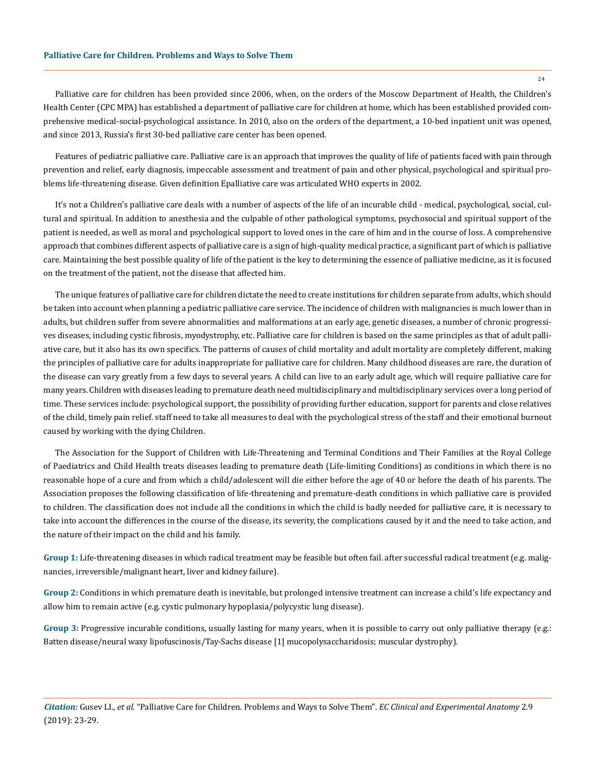#### **Palliative Care for Children. Problems and Ways to Solve Them**

Palliative care for children has been provided since 2006, when, on the orders of the Moscow Department of Health, the Children's Health Center (CPC MPA) has established a department of palliative care for children at home, which has been established provided comprehensive medical-social-psychological assistance. In 2010, also on the orders of the department, a 10-bed inpatient unit was opened, and since 2013, Russia's first 30-bed palliative care center has been opened.

Features of pediatric palliative care. Palliative care is an approach that improves the quality of life of patients faced with pain through prevention and relief, early diagnosis, impeccable assessment and treatment of pain and other physical, psychological and spiritual problems life-threatening disease. Given definition Epalliative care was articulated WHO experts in 2002.

It's not a Children's palliative care deals with a number of aspects of the life of an incurable child - medical, psychological, social, cultural and spiritual. In addition to anesthesia and the culpable of other pathological symptoms, psychosocial and spiritual support of the patient is needed, as well as moral and psychological support to loved ones in the care of him and in the course of loss. A comprehensive approach that combines different aspects of palliative care is a sign of high-quality medical practice, a significant part of which is palliative care. Maintaining the best possible quality of life of the patient is the key to determining the essence of palliative medicine, as it is focused on the treatment of the patient, not the disease that affected him.

The unique features of palliative care for children dictate the need to create institutions for children separate from adults, which should be taken into account when planning a pediatric palliative care service. The incidence of children with malignancies is much lower than in adults, but children suffer from severe abnormalities and malformations at an early age, genetic diseases, a number of chronic progressives diseases, including cystic fibrosis, myodystrophy, etc. Palliative care for children is based on the same principles as that of adult palliative care, but it also has its own specifics. The patterns of causes of child mortality and adult mortality are completely different, making the principles of palliative care for adults inappropriate for palliative care for children. Many childhood diseases are rare, the duration of the disease can vary greatly from a few days to several years. A child can live to an early adult age, which will require palliative care for many years. Children with diseases leading to premature death need multidisciplinary and multidisciplinary services over a long period of time. These services include: psychological support, the possibility of providing further education, support for parents and close relatives of the child, timely pain relief. staff need to take all measures to deal with the psychological stress of the staff and their emotional burnout caused by working with the dying Children.

The Association for the Support of Children with Life-Threatening and Terminal Conditions and Their Families at the Royal College of Paediatrics and Child Health treats diseases leading to premature death (Life-limiting Conditions) as conditions in which there is no reasonable hope of a cure and from which a child/adolescent will die either before the age of 40 or before the death of his parents. The Association proposes the following classification of life-threatening and premature-death conditions in which palliative care is provided to children. The classification does not include all the conditions in which the child is badly needed for palliative care, it is necessary to take into account the differences in the course of the disease, its severity, the complications caused by it and the need to take action, and the nature of their impact on the child and his family.

**Group 1:** Life-threatening diseases in which radical treatment may be feasible but often fail. after successful radical treatment (e.g. malignancies, irreversible/malignant heart, liver and kidney failure).

**Group 2:** Conditions in which premature death is inevitable, but prolonged intensive treatment can increase a child's life expectancy and allow him to remain active (e.g. cystic pulmonary hypoplasia/polycystic lung disease).

**Group 3:** Progressive incurable conditions, usually lasting for many years, when it is possible to carry out only palliative therapy (e.g.: Batten disease/neural waxy lipofuscinosis/Tay-Sachs disease [1] mucopolysaccharidosis; muscular dystrophy).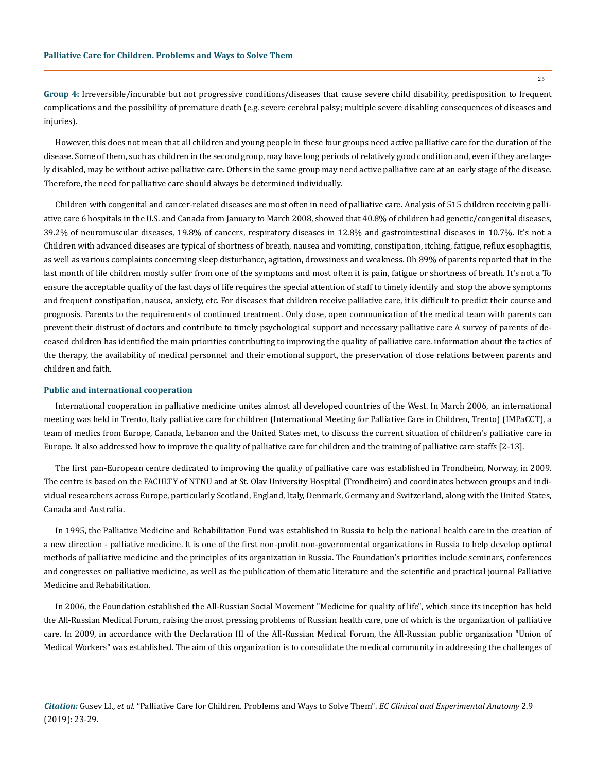**Group 4:** Irreversible/incurable but not progressive conditions/diseases that cause severe child disability, predisposition to frequent complications and the possibility of premature death (e.g. severe cerebral palsy; multiple severe disabling consequences of diseases and injuries).

However, this does not mean that all children and young people in these four groups need active palliative care for the duration of the disease. Some of them, such as children in the second group, may have long periods of relatively good condition and, even if they are largely disabled, may be without active palliative care. Others in the same group may need active palliative care at an early stage of the disease. Therefore, the need for palliative care should always be determined individually.

Children with congenital and cancer-related diseases are most often in need of palliative care. Analysis of 515 children receiving palliative care 6 hospitals in the U.S. and Canada from January to March 2008, showed that 40.8% of children had genetic/congenital diseases, 39.2% of neuromuscular diseases, 19.8% of cancers, respiratory diseases in 12.8% and gastrointestinal diseases in 10.7%. It's not a Children with advanced diseases are typical of shortness of breath, nausea and vomiting, constipation, itching, fatigue, reflux esophagitis, as well as various complaints concerning sleep disturbance, agitation, drowsiness and weakness. Oh 89% of parents reported that in the last month of life children mostly suffer from one of the symptoms and most often it is pain, fatigue or shortness of breath. It's not a To ensure the acceptable quality of the last days of life requires the special attention of staff to timely identify and stop the above symptoms and frequent constipation, nausea, anxiety, etc. For diseases that children receive palliative care, it is difficult to predict their course and prognosis. Parents to the requirements of continued treatment. Only close, open communication of the medical team with parents can prevent their distrust of doctors and contribute to timely psychological support and necessary palliative care A survey of parents of deceased children has identified the main priorities contributing to improving the quality of palliative care. information about the tactics of the therapy, the availability of medical personnel and their emotional support, the preservation of close relations between parents and children and faith.

## **Public and international cooperation**

International cooperation in palliative medicine unites almost all developed countries of the West. In March 2006, an international meeting was held in Trento, Italy palliative care for children (International Meeting for Palliative Care in Children, Trento) (IMPaCCT), a team of medics from Europe, Canada, Lebanon and the United States met, to discuss the current situation of children's palliative care in Europe. It also addressed how to improve the quality of palliative care for children and the training of palliative care staffs [2-13].

The first pan-European centre dedicated to improving the quality of palliative care was established in Trondheim, Norway, in 2009. The centre is based on the FACULTY of NTNU and at St. Olav University Hospital (Trondheim) and coordinates between groups and individual researchers across Europe, particularly Scotland, England, Italy, Denmark, Germany and Switzerland, along with the United States, Canada and Australia.

In 1995, the Palliative Medicine and Rehabilitation Fund was established in Russia to help the national health care in the creation of a new direction - palliative medicine. It is one of the first non-profit non-governmental organizations in Russia to help develop optimal methods of palliative medicine and the principles of its organization in Russia. The Foundation's priorities include seminars, conferences and congresses on palliative medicine, as well as the publication of thematic literature and the scientific and practical journal Palliative Medicine and Rehabilitation.

In 2006, the Foundation established the All-Russian Social Movement "Medicine for quality of life", which since its inception has held the All-Russian Medical Forum, raising the most pressing problems of Russian health care, one of which is the organization of palliative care. In 2009, in accordance with the Declaration III of the All-Russian Medical Forum, the All-Russian public organization "Union of Medical Workers" was established. The aim of this organization is to consolidate the medical community in addressing the challenges of

*Citation:* Gusev LI*., et al.* "Palliative Care for Children. Problems and Ways to Solve Them". *EC Clinical and Experimental Anatomy* 2.9 (2019): 23-29.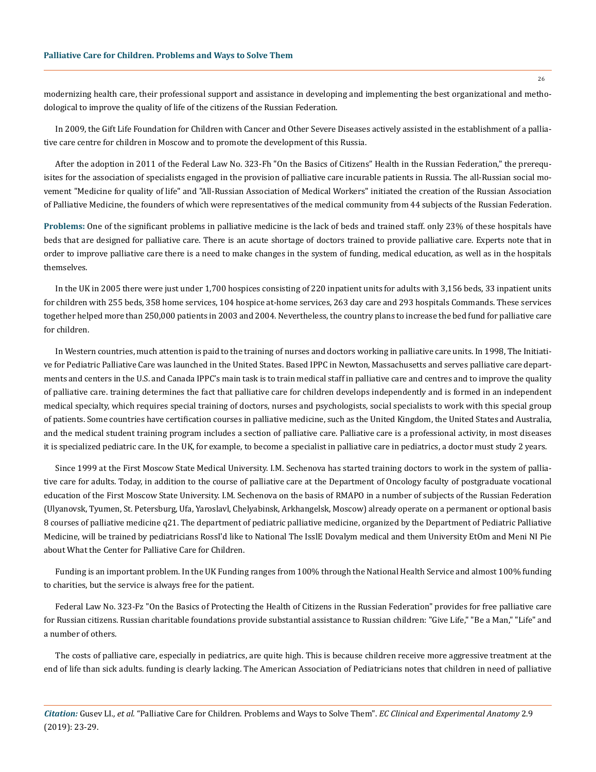modernizing health care, their professional support and assistance in developing and implementing the best organizational and methodological to improve the quality of life of the citizens of the Russian Federation.

In 2009, the Gift Life Foundation for Children with Cancer and Other Severe Diseases actively assisted in the establishment of a palliative care centre for children in Moscow and to promote the development of this Russia.

After the adoption in 2011 of the Federal Law No. 323-Fh "On the Basics of Citizens" Health in the Russian Federation," the prerequisites for the association of specialists engaged in the provision of palliative care incurable patients in Russia. The all-Russian social movement "Medicine for quality of life" and "All-Russian Association of Medical Workers" initiated the creation of the Russian Association of Palliative Medicine, the founders of which were representatives of the medical community from 44 subjects of the Russian Federation.

**Problems:** One of the significant problems in palliative medicine is the lack of beds and trained staff. only 23% of these hospitals have beds that are designed for palliative care. There is an acute shortage of doctors trained to provide palliative care. Experts note that in order to improve palliative care there is a need to make changes in the system of funding, medical education, as well as in the hospitals themselves.

In the UK in 2005 there were just under 1,700 hospices consisting of 220 inpatient units for adults with 3,156 beds, 33 inpatient units for children with 255 beds, 358 home services, 104 hospice at-home services, 263 day care and 293 hospitals Commands. These services together helped more than 250,000 patients in 2003 and 2004. Nevertheless, the country plans to increase the bed fund for palliative care for children.

In Western countries, much attention is paid to the training of nurses and doctors working in palliative care units. In 1998, The Initiative for Pediatric Palliative Care was launched in the United States. Based IPPC in Newton, Massachusetts and serves palliative care departments and centers in the U.S. and Canada IPPC's main task is to train medical staff in palliative care and centres and to improve the quality of palliative care. training determines the fact that palliative care for children develops independently and is formed in an independent medical specialty, which requires special training of doctors, nurses and psychologists, social specialists to work with this special group of patients. Some countries have certification courses in palliative medicine, such as the United Kingdom, the United States and Australia, and the medical student training program includes a section of palliative care. Palliative care is a professional activity, in most diseases it is specialized pediatric care. In the UK, for example, to become a specialist in palliative care in pediatrics, a doctor must study 2 years.

Since 1999 at the First Moscow State Medical University. I.M. Sechenova has started training doctors to work in the system of palliative care for adults. Today, in addition to the course of palliative care at the Department of Oncology faculty of postgraduate vocational education of the First Moscow State University. I.M. Sechenova on the basis of RMAPO in a number of subjects of the Russian Federation (Ulyanovsk, Tyumen, St. Petersburg, Ufa, Yaroslavl, Chelyabinsk, Arkhangelsk, Moscow) already operate on a permanent or optional basis 8 courses of palliative medicine q21. The department of pediatric palliative medicine, organized by the Department of Pediatric Palliative Medicine, will be trained by pediatricians RossI'd like to National The IsslE Dovalym medical and them University EtOm and Meni NI Pie about What the Center for Palliative Care for Children.

Funding is an important problem. In the UK Funding ranges from 100% through the National Health Service and almost 100% funding to charities, but the service is always free for the patient.

Federal Law No. 323-Fz "On the Basics of Protecting the Health of Citizens in the Russian Federation" provides for free palliative care for Russian citizens. Russian charitable foundations provide substantial assistance to Russian children: "Give Life," "Be a Man," "Life" and a number of others.

The costs of palliative care, especially in pediatrics, are quite high. This is because children receive more aggressive treatment at the end of life than sick adults. funding is clearly lacking. The American Association of Pediatricians notes that children in need of palliative

*Citation:* Gusev LI*., et al.* "Palliative Care for Children. Problems and Ways to Solve Them". *EC Clinical and Experimental Anatomy* 2.9 (2019): 23-29.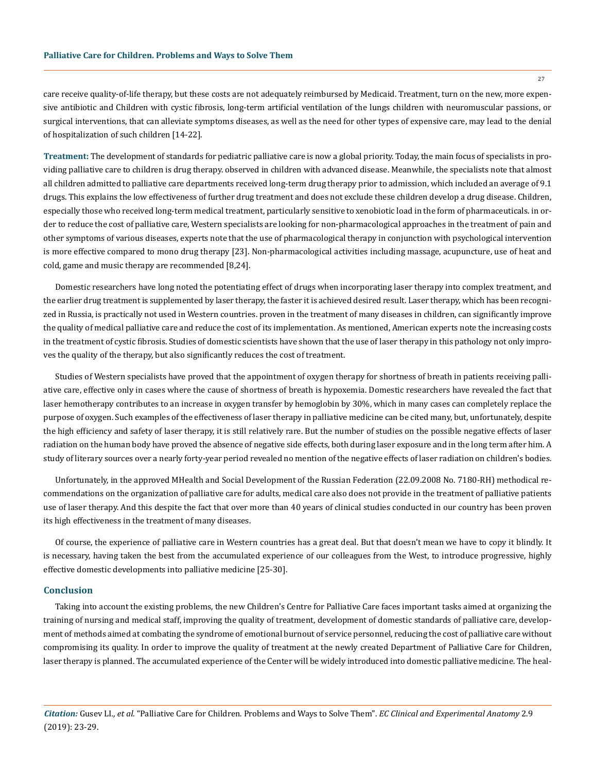care receive quality-of-life therapy, but these costs are not adequately reimbursed by Medicaid. Treatment, turn on the new, more expensive antibiotic and Children with cystic fibrosis, long-term artificial ventilation of the lungs children with neuromuscular passions, or surgical interventions, that can alleviate symptoms diseases, as well as the need for other types of expensive care, may lead to the denial of hospitalization of such children [14-22].

**Treatment:** The development of standards for pediatric palliative care is now a global priority. Today, the main focus of specialists in providing palliative care to children is drug therapy. observed in children with advanced disease. Meanwhile, the specialists note that almost all children admitted to palliative care departments received long-term drug therapy prior to admission, which included an average of 9.1 drugs. This explains the low effectiveness of further drug treatment and does not exclude these children develop a drug disease. Children, especially those who received long-term medical treatment, particularly sensitive to xenobiotic load in the form of pharmaceuticals. in order to reduce the cost of palliative care, Western specialists are looking for non-pharmacological approaches in the treatment of pain and other symptoms of various diseases, experts note that the use of pharmacological therapy in conjunction with psychological intervention is more effective compared to mono drug therapy [23]. Non-pharmacological activities including massage, acupuncture, use of heat and cold, game and music therapy are recommended [8,24].

Domestic researchers have long noted the potentiating effect of drugs when incorporating laser therapy into complex treatment, and the earlier drug treatment is supplemented by laser therapy, the faster it is achieved desired result. Laser therapy, which has been recognized in Russia, is practically not used in Western countries. proven in the treatment of many diseases in children, can significantly improve the quality of medical palliative care and reduce the cost of its implementation. As mentioned, American experts note the increasing costs in the treatment of cystic fibrosis. Studies of domestic scientists have shown that the use of laser therapy in this pathology not only improves the quality of the therapy, but also significantly reduces the cost of treatment.

Studies of Western specialists have proved that the appointment of oxygen therapy for shortness of breath in patients receiving palliative care, effective only in cases where the cause of shortness of breath is hypoxemia. Domestic researchers have revealed the fact that laser hemotherapy contributes to an increase in oxygen transfer by hemoglobin by 30%, which in many cases can completely replace the purpose of oxygen. Such examples of the effectiveness of laser therapy in palliative medicine can be cited many, but, unfortunately, despite the high efficiency and safety of laser therapy, it is still relatively rare. But the number of studies on the possible negative effects of laser radiation on the human body have proved the absence of negative side effects, both during laser exposure and in the long term after him. A study of literary sources over a nearly forty-year period revealed no mention of the negative effects of laser radiation on children's bodies.

Unfortunately, in the approved MHealth and Social Development of the Russian Federation (22.09.2008 No. 7180-RH) methodical recommendations on the organization of palliative care for adults, medical care also does not provide in the treatment of palliative patients use of laser therapy. And this despite the fact that over more than 40 years of clinical studies conducted in our country has been proven its high effectiveness in the treatment of many diseases.

Of course, the experience of palliative care in Western countries has a great deal. But that doesn't mean we have to copy it blindly. It is necessary, having taken the best from the accumulated experience of our colleagues from the West, to introduce progressive, highly effective domestic developments into palliative medicine [25-30].

## **Conclusion**

Taking into account the existing problems, the new Children's Centre for Palliative Care faces important tasks aimed at organizing the training of nursing and medical staff, improving the quality of treatment, development of domestic standards of palliative care, development of methods aimed at combating the syndrome of emotional burnout of service personnel, reducing the cost of palliative care without compromising its quality. In order to improve the quality of treatment at the newly created Department of Palliative Care for Children, laser therapy is planned. The accumulated experience of the Center will be widely introduced into domestic palliative medicine. The heal-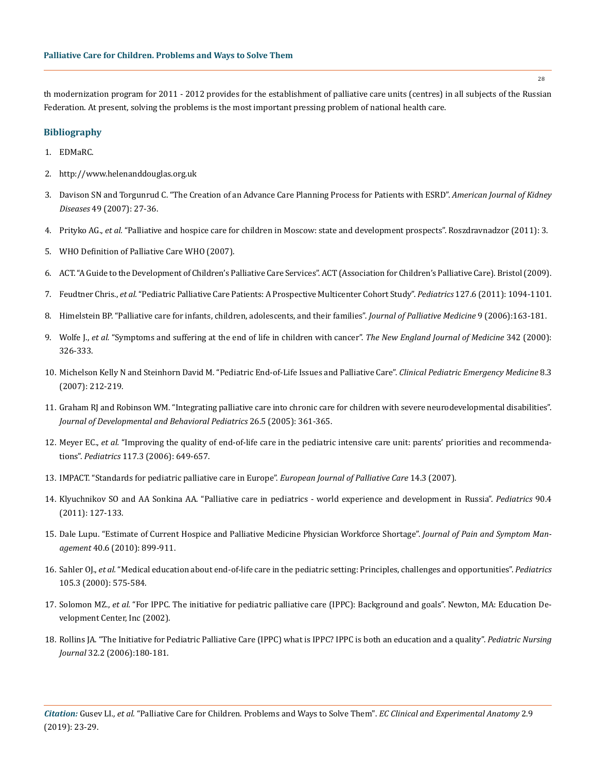th modernization program for 2011 - 2012 provides for the establishment of palliative care units (centres) in all subjects of the Russian Federation. At present, solving the problems is the most important pressing problem of national health care.

## **Bibliography**

- 1. [EDMaRC.](http://www.edmarc.net/)
- 2. <http://www.helenanddouglas.org.uk>
- 3. [Davison SN and Torgunrud C. "The Creation of an Advance Care Planning Process for Patients with ESRD".](https://www.ncbi.nlm.nih.gov/pubmed/17185143) *American Journal of Kidney Diseases* [49 \(2007\): 27-36.](https://www.ncbi.nlm.nih.gov/pubmed/17185143)
- 4. Prityko AG., *et al.* "Palliative and hospice care for children in Moscow: state and development prospects". Roszdravnadzor (2011): 3.
- 5. WHO Definition of Palliative Care WHO (2007).
- 6. [ACT. "A Guide to the Development of Children's Palliative Care Services". ACT \(Association for Children's Palliative Care\). Bristol \(2009\).](https://www.togetherforshortlives.org.uk/resource/a-guide-to-childrens-palliative-care/)
- 7. Feudtner Chris., *et al.* ["Pediatric Palliative Care Patients: A Prospective Multicenter Cohort Study".](https://www.ncbi.nlm.nih.gov/pubmed/21555495) *Pediatrics* 127.6 (2011): 1094-1101.
- 8. [Himelstein BP. "Palliative care for infants, children, adolescents, and their families".](https://www.ncbi.nlm.nih.gov/pubmed/16430356) *Journal of Palliative Medicine* 9 (2006):163-181.
- 9. Wolfe J., *et al.* ["Symptoms and suffering at the end of life in children with cancer".](https://www.ncbi.nlm.nih.gov/pubmed/10655532) *The New England Journal of Medicine* 342 (2000): [326-333.](https://www.ncbi.nlm.nih.gov/pubmed/10655532)
- 10. [Michelson Kelly N and Steinhorn David M. "Pediatric End-of-Life Issues and Palliative Care".](https://www.ncbi.nlm.nih.gov/pmc/articles/PMC2344130/) *Clinical Pediatric Emergency Medicine* 8.3 [\(2007\): 212-219.](https://www.ncbi.nlm.nih.gov/pmc/articles/PMC2344130/)
- 11. [Graham RJ and Robinson WM. "Integrating palliative care into chronic care for children with severe neurodevelopmental disabilities".](https://www.ncbi.nlm.nih.gov/pubmed/16222176) *[Journal of Developmental and Behavioral Pediatrics](https://www.ncbi.nlm.nih.gov/pubmed/16222176)* 26.5 (2005): 361-365.
- 12. Meyer EC., *et al.* ["Improving the quality of end-of-life care in the pediatric intensive care unit: parents' priorities and recommenda](https://www.ncbi.nlm.nih.gov/pubmed/16510643)tions". *Pediatrics* [117.3 \(2006\): 649-657.](https://www.ncbi.nlm.nih.gov/pubmed/16510643)
- 13. IMPACT. "Standards for pediatric palliative care in Europe". *European Journal of Palliative Care* 14.3 (2007).
- 14. Klyuchnikov SO and AA Sonkina AA. "Palliative care in pediatrics world experience and development in Russia". *Pediatrics* 90.4 (2011): 127-133.
- 15. [Dale Lupu. "Estimate of Current Hospice and Palliative Medicine Physician Workforce Shortage".](https://www.ncbi.nlm.nih.gov/pubmed/21145468) *Journal of Pain and Symptom Management* [40.6 \(2010\): 899-911.](https://www.ncbi.nlm.nih.gov/pubmed/21145468)
- 16. Sahler OJ., *et al.* ["Medical education about end-of-life care in the pediatric setting: Principles, challenges and opportunities".](https://www.ncbi.nlm.nih.gov/pubmed/10699112) *Pediatrics*  [105.3 \(2000\): 575-584.](https://www.ncbi.nlm.nih.gov/pubmed/10699112)
- 17. Solomon MZ., *et al.* "For IPPC. The initiative for pediatric palliative care (IPPC): Background and goals". Newton, MA: Education Development Center, Inc (2002).
- 18. [Rollins JA. "The Initiative for Pediatric Palliative Care \(IPPC\) what is IPPC? IPPC is both an education and a quality".](https://www.ncbi.nlm.nih.gov/pubmed/16719431) *Pediatric Nursing Journal* [32.2 \(2006\):180-181.](https://www.ncbi.nlm.nih.gov/pubmed/16719431)